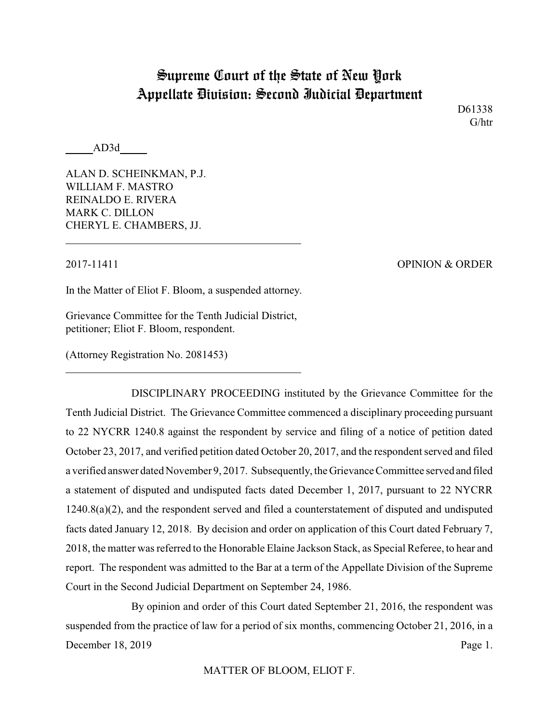# Supreme Court of the State of New York Appellate Division: Second Judicial Department

D61338 G/htr

AD3d

ALAN D. SCHEINKMAN, P.J. WILLIAM F. MASTRO REINALDO E. RIVERA MARK C. DILLON CHERYL E. CHAMBERS, JJ.

2017-11411 OPINION & ORDER

In the Matter of Eliot F. Bloom, a suspended attorney.

Grievance Committee for the Tenth Judicial District, petitioner; Eliot F. Bloom, respondent.

(Attorney Registration No. 2081453)

DISCIPLINARY PROCEEDING instituted by the Grievance Committee for the Tenth Judicial District. The Grievance Committee commenced a disciplinary proceeding pursuant to 22 NYCRR 1240.8 against the respondent by service and filing of a notice of petition dated October 23, 2017, and verified petition dated October 20, 2017, and the respondent served and filed a verified answer dated November 9, 2017. Subsequently, the Grievance Committee served and filed a statement of disputed and undisputed facts dated December 1, 2017, pursuant to 22 NYCRR 1240.8(a)(2), and the respondent served and filed a counterstatement of disputed and undisputed facts dated January 12, 2018. By decision and order on application of this Court dated February 7, 2018, the matter was referred to the Honorable Elaine Jackson Stack, as Special Referee, to hear and report. The respondent was admitted to the Bar at a term of the Appellate Division of the Supreme Court in the Second Judicial Department on September 24, 1986.

By opinion and order of this Court dated September 21, 2016, the respondent was suspended from the practice of law for a period of six months, commencing October 21, 2016, in a December 18, 2019 Page 1.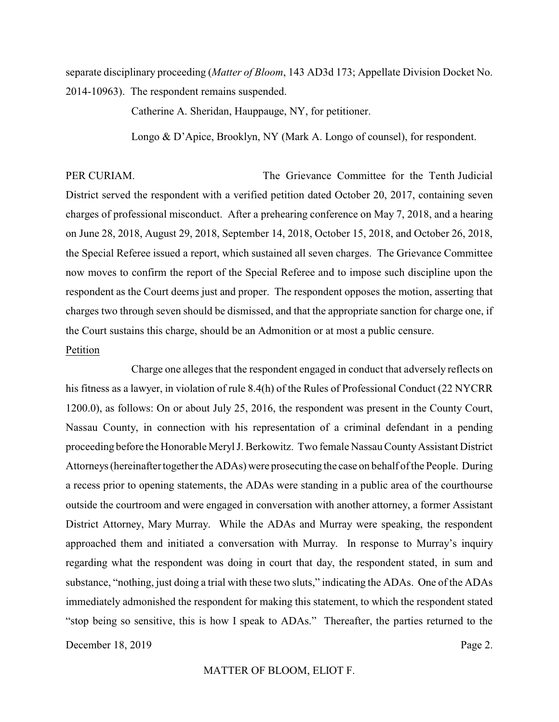separate disciplinary proceeding (*Matter of Bloom*, 143 AD3d 173; Appellate Division Docket No. 2014-10963). The respondent remains suspended.

Catherine A. Sheridan, Hauppauge, NY, for petitioner.

Longo & D'Apice, Brooklyn, NY (Mark A. Longo of counsel), for respondent.

PER CURIAM. The Grievance Committee for the Tenth Judicial District served the respondent with a verified petition dated October 20, 2017, containing seven charges of professional misconduct. After a prehearing conference on May 7, 2018, and a hearing on June 28, 2018, August 29, 2018, September 14, 2018, October 15, 2018, and October 26, 2018, the Special Referee issued a report, which sustained all seven charges. The Grievance Committee now moves to confirm the report of the Special Referee and to impose such discipline upon the respondent as the Court deems just and proper. The respondent opposes the motion, asserting that charges two through seven should be dismissed, and that the appropriate sanction for charge one, if the Court sustains this charge, should be an Admonition or at most a public censure.

## Petition

Charge one alleges that the respondent engaged in conduct that adversely reflects on his fitness as a lawyer, in violation of rule 8.4(h) of the Rules of Professional Conduct (22 NYCRR 1200.0), as follows: On or about July 25, 2016, the respondent was present in the County Court, Nassau County, in connection with his representation of a criminal defendant in a pending proceeding before the Honorable Meryl J. Berkowitz. Two female Nassau County Assistant District Attorneys (hereinafter together the ADAs) were prosecuting the case on behalf of the People. During a recess prior to opening statements, the ADAs were standing in a public area of the courthourse outside the courtroom and were engaged in conversation with another attorney, a former Assistant District Attorney, Mary Murray. While the ADAs and Murray were speaking, the respondent approached them and initiated a conversation with Murray. In response to Murray's inquiry regarding what the respondent was doing in court that day, the respondent stated, in sum and substance, "nothing, just doing a trial with these two sluts," indicating the ADAs. One of the ADAs immediately admonished the respondent for making this statement, to which the respondent stated "stop being so sensitive, this is how I speak to ADAs." Thereafter, the parties returned to the December 18, 2019 Page 2.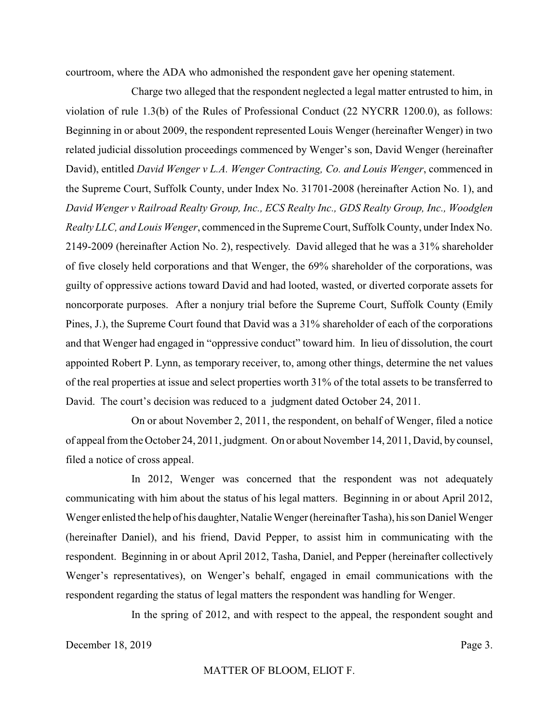courtroom, where the ADA who admonished the respondent gave her opening statement.

Charge two alleged that the respondent neglected a legal matter entrusted to him, in violation of rule 1.3(b) of the Rules of Professional Conduct (22 NYCRR 1200.0), as follows: Beginning in or about 2009, the respondent represented Louis Wenger (hereinafter Wenger) in two related judicial dissolution proceedings commenced by Wenger's son, David Wenger (hereinafter David), entitled *David Wenger v L.A. Wenger Contracting, Co. and Louis Wenger*, commenced in the Supreme Court, Suffolk County, under Index No. 31701-2008 (hereinafter Action No. 1), and *David Wenger v Railroad Realty Group, Inc., ECS Realty Inc., GDS Realty Group, Inc., Woodglen Realty LLC, and Louis Wenger*, commenced in the Supreme Court, Suffolk County, under Index No. 2149-2009 (hereinafter Action No. 2), respectively. David alleged that he was a 31% shareholder of five closely held corporations and that Wenger, the 69% shareholder of the corporations, was guilty of oppressive actions toward David and had looted, wasted, or diverted corporate assets for noncorporate purposes. After a nonjury trial before the Supreme Court, Suffolk County (Emily Pines, J.), the Supreme Court found that David was a 31% shareholder of each of the corporations and that Wenger had engaged in "oppressive conduct" toward him. In lieu of dissolution, the court appointed Robert P. Lynn, as temporary receiver, to, among other things, determine the net values of the real properties at issue and select properties worth 31% of the total assets to be transferred to David. The court's decision was reduced to a judgment dated October 24, 2011.

On or about November 2, 2011, the respondent, on behalf of Wenger, filed a notice of appeal from the October 24, 2011, judgment. On or about November 14, 2011, David, by counsel, filed a notice of cross appeal.

In 2012, Wenger was concerned that the respondent was not adequately communicating with him about the status of his legal matters. Beginning in or about April 2012, Wenger enlisted the help of his daughter, Natalie Wenger (hereinafter Tasha), his son Daniel Wenger (hereinafter Daniel), and his friend, David Pepper, to assist him in communicating with the respondent. Beginning in or about April 2012, Tasha, Daniel, and Pepper (hereinafter collectively Wenger's representatives), on Wenger's behalf, engaged in email communications with the respondent regarding the status of legal matters the respondent was handling for Wenger.

In the spring of 2012, and with respect to the appeal, the respondent sought and

December 18, 2019 Page 3.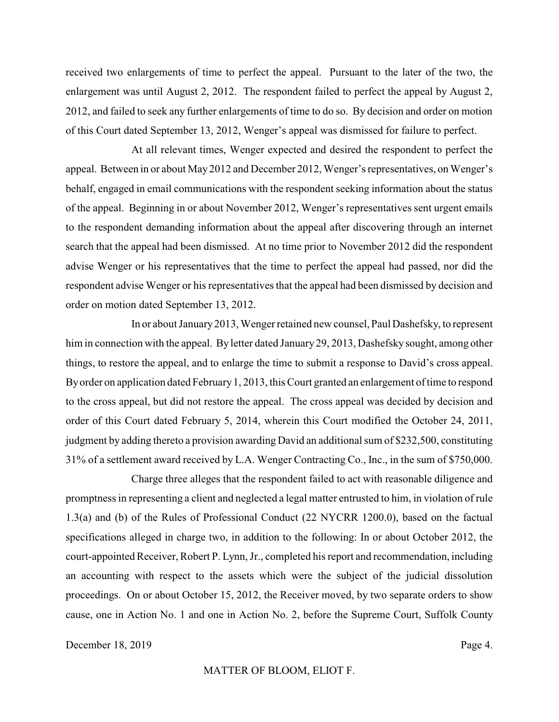received two enlargements of time to perfect the appeal. Pursuant to the later of the two, the enlargement was until August 2, 2012. The respondent failed to perfect the appeal by August 2, 2012, and failed to seek any further enlargements of time to do so. By decision and order on motion of this Court dated September 13, 2012, Wenger's appeal was dismissed for failure to perfect.

At all relevant times, Wenger expected and desired the respondent to perfect the appeal. Between in or about May 2012 and December 2012, Wenger's representatives, on Wenger's behalf, engaged in email communications with the respondent seeking information about the status of the appeal. Beginning in or about November 2012, Wenger's representatives sent urgent emails to the respondent demanding information about the appeal after discovering through an internet search that the appeal had been dismissed. At no time prior to November 2012 did the respondent advise Wenger or his representatives that the time to perfect the appeal had passed, nor did the respondent advise Wenger or his representatives that the appeal had been dismissed by decision and order on motion dated September 13, 2012.

In or about January2013, Wenger retained new counsel, Paul Dashefsky, to represent him in connection with the appeal. By letter dated January 29, 2013, Dashefskysought, among other things, to restore the appeal, and to enlarge the time to submit a response to David's cross appeal. By order on application dated February 1, 2013, this Court granted an enlargement of time to respond to the cross appeal, but did not restore the appeal. The cross appeal was decided by decision and order of this Court dated February 5, 2014, wherein this Court modified the October 24, 2011, judgment by adding thereto a provision awarding David an additional sum of \$232,500, constituting 31% of a settlement award received by L.A. Wenger Contracting Co., Inc., in the sum of \$750,000.

Charge three alleges that the respondent failed to act with reasonable diligence and promptness in representing a client and neglected a legal matter entrusted to him, in violation of rule 1.3(a) and (b) of the Rules of Professional Conduct (22 NYCRR 1200.0), based on the factual specifications alleged in charge two, in addition to the following: In or about October 2012, the court-appointed Receiver, Robert P. Lynn, Jr., completed his report and recommendation, including an accounting with respect to the assets which were the subject of the judicial dissolution proceedings. On or about October 15, 2012, the Receiver moved, by two separate orders to show cause, one in Action No. 1 and one in Action No. 2, before the Supreme Court, Suffolk County

December 18, 2019 Page 4.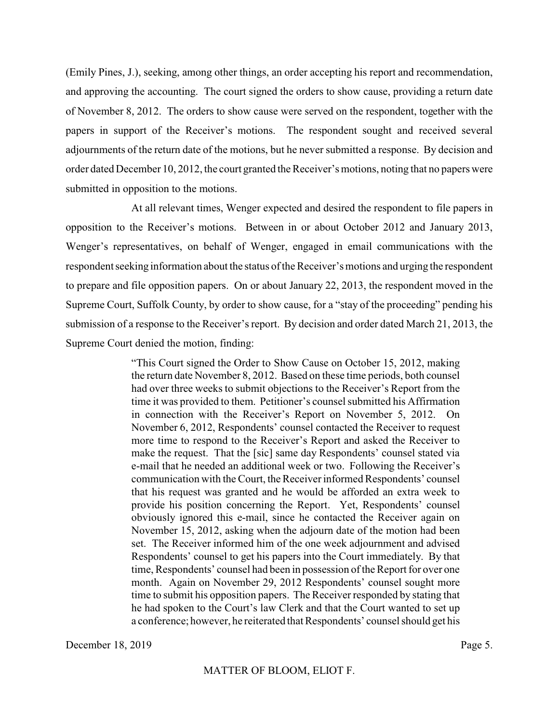(Emily Pines, J.), seeking, among other things, an order accepting his report and recommendation, and approving the accounting. The court signed the orders to show cause, providing a return date of November 8, 2012. The orders to show cause were served on the respondent, together with the papers in support of the Receiver's motions. The respondent sought and received several adjournments of the return date of the motions, but he never submitted a response. By decision and order dated December 10, 2012, the court granted the Receiver's motions, noting that no papers were submitted in opposition to the motions.

At all relevant times, Wenger expected and desired the respondent to file papers in opposition to the Receiver's motions. Between in or about October 2012 and January 2013, Wenger's representatives, on behalf of Wenger, engaged in email communications with the respondent seeking information about the status of the Receiver's motions and urging the respondent to prepare and file opposition papers. On or about January 22, 2013, the respondent moved in the Supreme Court, Suffolk County, by order to show cause, for a "stay of the proceeding" pending his submission of a response to the Receiver's report. By decision and order dated March 21, 2013, the Supreme Court denied the motion, finding:

> "This Court signed the Order to Show Cause on October 15, 2012, making the return date November 8, 2012. Based on these time periods, both counsel had over three weeks to submit objections to the Receiver's Report from the time it was provided to them. Petitioner's counsel submitted his Affirmation in connection with the Receiver's Report on November 5, 2012. On November 6, 2012, Respondents' counsel contacted the Receiver to request more time to respond to the Receiver's Report and asked the Receiver to make the request. That the [sic] same day Respondents' counsel stated via e-mail that he needed an additional week or two. Following the Receiver's communication with the Court, the Receiver informed Respondents' counsel that his request was granted and he would be afforded an extra week to provide his position concerning the Report. Yet, Respondents' counsel obviously ignored this e-mail, since he contacted the Receiver again on November 15, 2012, asking when the adjourn date of the motion had been set. The Receiver informed him of the one week adjournment and advised Respondents' counsel to get his papers into the Court immediately. By that time, Respondents' counsel had been in possession of the Report for over one month. Again on November 29, 2012 Respondents' counsel sought more time to submit his opposition papers. The Receiver responded by stating that he had spoken to the Court's law Clerk and that the Court wanted to set up a conference; however, he reiterated that Respondents' counsel should get his

December 18, 2019 Page 5.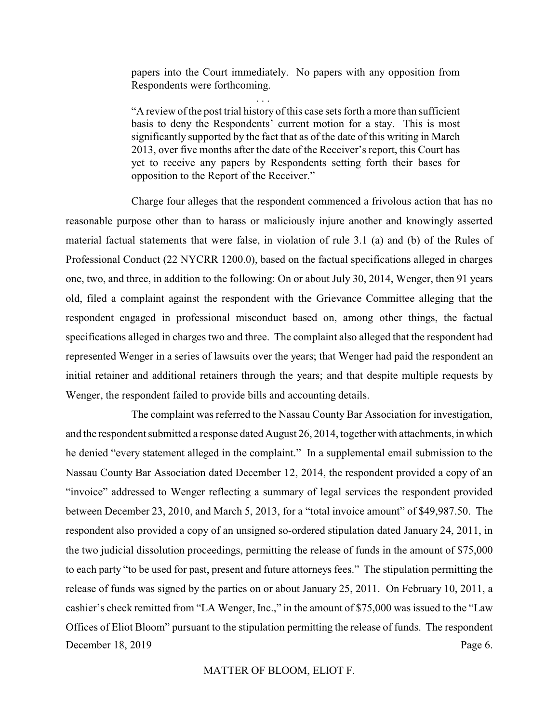papers into the Court immediately. No papers with any opposition from Respondents were forthcoming.

. . .

"A review of the post trial history of this case sets forth a more than sufficient basis to deny the Respondents' current motion for a stay. This is most significantly supported by the fact that as of the date of this writing in March 2013, over five months after the date of the Receiver's report, this Court has yet to receive any papers by Respondents setting forth their bases for opposition to the Report of the Receiver."

Charge four alleges that the respondent commenced a frivolous action that has no reasonable purpose other than to harass or maliciously injure another and knowingly asserted material factual statements that were false, in violation of rule 3.1 (a) and (b) of the Rules of Professional Conduct (22 NYCRR 1200.0), based on the factual specifications alleged in charges one, two, and three, in addition to the following: On or about July 30, 2014, Wenger, then 91 years old, filed a complaint against the respondent with the Grievance Committee alleging that the respondent engaged in professional misconduct based on, among other things, the factual specifications alleged in charges two and three. The complaint also alleged that the respondent had represented Wenger in a series of lawsuits over the years; that Wenger had paid the respondent an initial retainer and additional retainers through the years; and that despite multiple requests by Wenger, the respondent failed to provide bills and accounting details.

The complaint was referred to the Nassau County Bar Association for investigation, and the respondent submitted a response dated August 26, 2014, together with attachments, in which he denied "every statement alleged in the complaint." In a supplemental email submission to the Nassau County Bar Association dated December 12, 2014, the respondent provided a copy of an "invoice" addressed to Wenger reflecting a summary of legal services the respondent provided between December 23, 2010, and March 5, 2013, for a "total invoice amount" of \$49,987.50. The respondent also provided a copy of an unsigned so-ordered stipulation dated January 24, 2011, in the two judicial dissolution proceedings, permitting the release of funds in the amount of \$75,000 to each party "to be used for past, present and future attorneys fees." The stipulation permitting the release of funds was signed by the parties on or about January 25, 2011. On February 10, 2011, a cashier's check remitted from "LA Wenger, Inc.," in the amount of \$75,000 was issued to the "Law Offices of Eliot Bloom" pursuant to the stipulation permitting the release of funds. The respondent December 18, 2019 Page 6.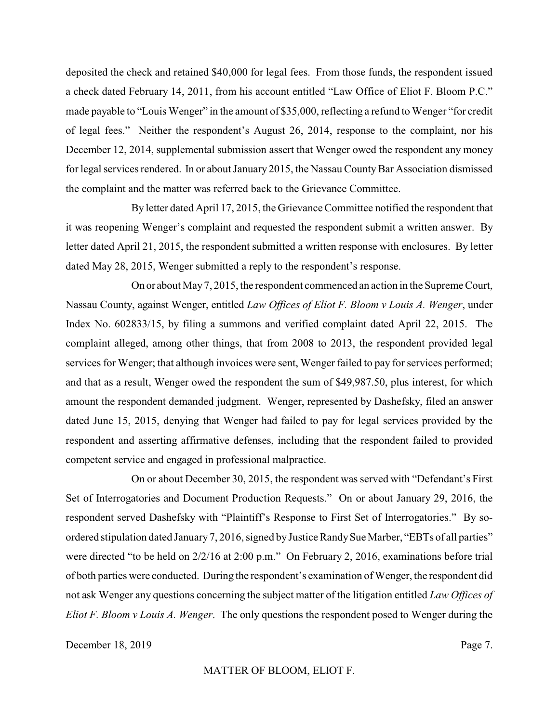deposited the check and retained \$40,000 for legal fees. From those funds, the respondent issued a check dated February 14, 2011, from his account entitled "Law Office of Eliot F. Bloom P.C." made payable to "Louis Wenger" in the amount of \$35,000, reflecting a refund to Wenger "for credit of legal fees." Neither the respondent's August 26, 2014, response to the complaint, nor his December 12, 2014, supplemental submission assert that Wenger owed the respondent any money for legal services rendered. In or about January 2015, the Nassau County Bar Association dismissed the complaint and the matter was referred back to the Grievance Committee.

By letter dated April 17, 2015, the Grievance Committee notified the respondent that it was reopening Wenger's complaint and requested the respondent submit a written answer. By letter dated April 21, 2015, the respondent submitted a written response with enclosures. By letter dated May 28, 2015, Wenger submitted a reply to the respondent's response.

On or about May7, 2015, the respondent commenced an action in the Supreme Court, Nassau County, against Wenger, entitled *Law Offices of Eliot F. Bloom v Louis A. Wenger*, under Index No. 602833/15, by filing a summons and verified complaint dated April 22, 2015. The complaint alleged, among other things, that from 2008 to 2013, the respondent provided legal services for Wenger; that although invoices were sent, Wenger failed to pay for services performed; and that as a result, Wenger owed the respondent the sum of \$49,987.50, plus interest, for which amount the respondent demanded judgment. Wenger, represented by Dashefsky, filed an answer dated June 15, 2015, denying that Wenger had failed to pay for legal services provided by the respondent and asserting affirmative defenses, including that the respondent failed to provided competent service and engaged in professional malpractice.

On or about December 30, 2015, the respondent was served with "Defendant's First Set of Interrogatories and Document Production Requests." On or about January 29, 2016, the respondent served Dashefsky with "Plaintiff's Response to First Set of Interrogatories." By soordered stipulation dated January7, 2016, signed byJustice RandySue Marber, "EBTs of all parties" were directed "to be held on 2/2/16 at 2:00 p.m." On February 2, 2016, examinations before trial of both parties were conducted. During the respondent's examination of Wenger, the respondent did not ask Wenger any questions concerning the subject matter of the litigation entitled *Law Offices of Eliot F. Bloom v Louis A. Wenger*. The only questions the respondent posed to Wenger during the

December 18, 2019 Page 7.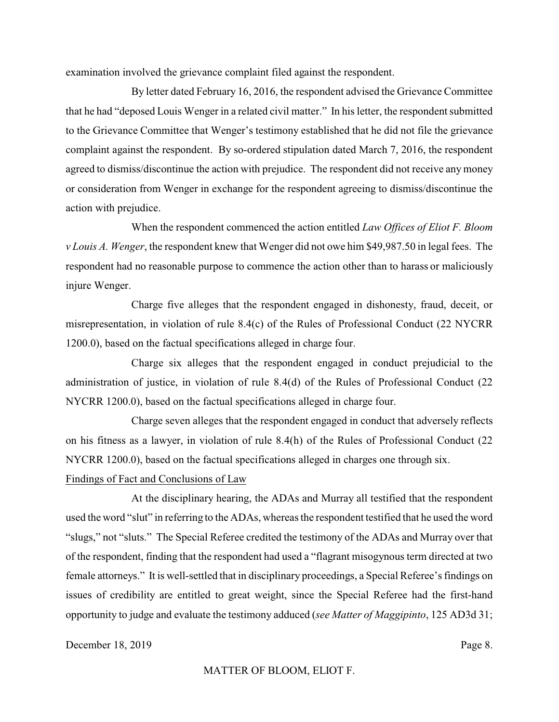examination involved the grievance complaint filed against the respondent.

By letter dated February 16, 2016, the respondent advised the Grievance Committee that he had "deposed Louis Wenger in a related civil matter." In his letter, the respondent submitted to the Grievance Committee that Wenger's testimony established that he did not file the grievance complaint against the respondent. By so-ordered stipulation dated March 7, 2016, the respondent agreed to dismiss/discontinue the action with prejudice. The respondent did not receive any money or consideration from Wenger in exchange for the respondent agreeing to dismiss/discontinue the action with prejudice.

When the respondent commenced the action entitled *Law Offices of Eliot F. Bloom v Louis A. Wenger*, the respondent knew that Wenger did not owe him \$49,987.50 in legal fees. The respondent had no reasonable purpose to commence the action other than to harass or maliciously injure Wenger.

Charge five alleges that the respondent engaged in dishonesty, fraud, deceit, or misrepresentation, in violation of rule 8.4(c) of the Rules of Professional Conduct (22 NYCRR 1200.0), based on the factual specifications alleged in charge four.

Charge six alleges that the respondent engaged in conduct prejudicial to the administration of justice, in violation of rule 8.4(d) of the Rules of Professional Conduct (22 NYCRR 1200.0), based on the factual specifications alleged in charge four.

Charge seven alleges that the respondent engaged in conduct that adversely reflects on his fitness as a lawyer, in violation of rule 8.4(h) of the Rules of Professional Conduct (22 NYCRR 1200.0), based on the factual specifications alleged in charges one through six. Findings of Fact and Conclusions of Law

At the disciplinary hearing, the ADAs and Murray all testified that the respondent used the word "slut" in referring to the ADAs, whereas the respondent testified that he used the word "slugs," not "sluts." The Special Referee credited the testimony of the ADAs and Murray over that of the respondent, finding that the respondent had used a "flagrant misogynous term directed at two female attorneys." It is well-settled that in disciplinary proceedings, a Special Referee's findings on issues of credibility are entitled to great weight, since the Special Referee had the first-hand opportunity to judge and evaluate the testimony adduced (*see Matter of Maggipinto*, 125 AD3d 31;

December 18, 2019 Page 8.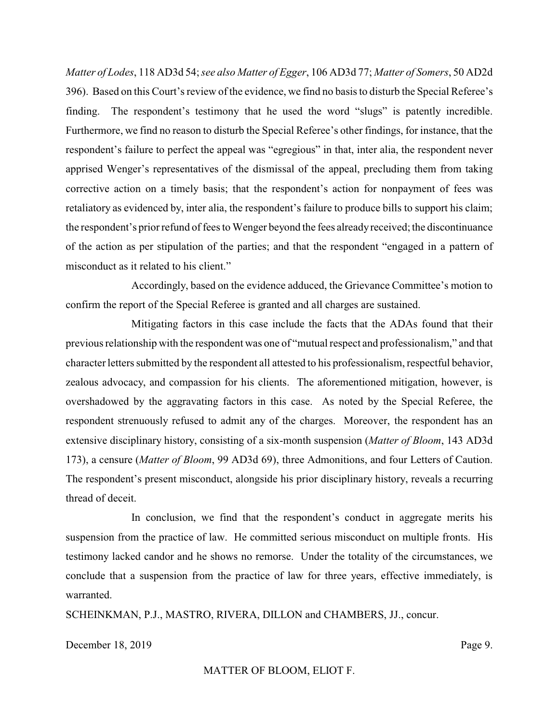*Matter of Lodes*, 118 AD3d 54; *see also Matter of Egger*, 106 AD3d 77; *Matter of Somers*, 50 AD2d 396). Based on this Court's review of the evidence, we find no basis to disturb the Special Referee's finding. The respondent's testimony that he used the word "slugs" is patently incredible. Furthermore, we find no reason to disturb the Special Referee's other findings, for instance, that the respondent's failure to perfect the appeal was "egregious" in that, inter alia, the respondent never apprised Wenger's representatives of the dismissal of the appeal, precluding them from taking corrective action on a timely basis; that the respondent's action for nonpayment of fees was retaliatory as evidenced by, inter alia, the respondent's failure to produce bills to support his claim; the respondent's prior refund of fees to Wenger beyond the fees alreadyreceived; the discontinuance of the action as per stipulation of the parties; and that the respondent "engaged in a pattern of misconduct as it related to his client."

Accordingly, based on the evidence adduced, the Grievance Committee's motion to confirm the report of the Special Referee is granted and all charges are sustained.

Mitigating factors in this case include the facts that the ADAs found that their previous relationship with the respondent was one of "mutual respect and professionalism," and that character letters submitted by the respondent all attested to his professionalism, respectful behavior, zealous advocacy, and compassion for his clients. The aforementioned mitigation, however, is overshadowed by the aggravating factors in this case. As noted by the Special Referee, the respondent strenuously refused to admit any of the charges. Moreover, the respondent has an extensive disciplinary history, consisting of a six-month suspension (*Matter of Bloom*, 143 AD3d 173), a censure (*Matter of Bloom*, 99 AD3d 69), three Admonitions, and four Letters of Caution. The respondent's present misconduct, alongside his prior disciplinary history, reveals a recurring thread of deceit.

In conclusion, we find that the respondent's conduct in aggregate merits his suspension from the practice of law. He committed serious misconduct on multiple fronts. His testimony lacked candor and he shows no remorse. Under the totality of the circumstances, we conclude that a suspension from the practice of law for three years, effective immediately, is warranted.

SCHEINKMAN, P.J., MASTRO, RIVERA, DILLON and CHAMBERS, JJ., concur.

December 18, 2019 Page 9.